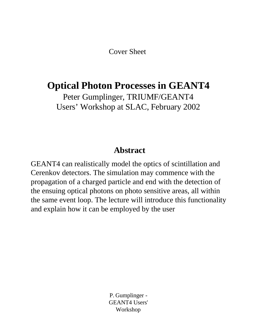Cover Sheet

#### **Optical Photon Processes in GEANT4**

Peter Gumplinger, TRIUMF/GEANT4 Users' Workshop at SLAC, February 2002

#### **Abstract**

GEANT4 can realistically model the optics of scintillation and Cerenkov detectors. The simulation may commence with the propagation of a charged particle and end with the detection of the ensuing optical photons on photo sensitive areas, all within the same event loop. The lecture will introduce this functionality and explain how it can be employed by the user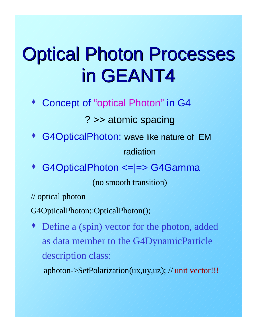# Optical Photon Processes in GEANT4

Concept of "optical Photon" in G4

#### ? >> atomic spacing

G4OpticalPhoton: wave like nature of EM

radiation

s G4OpticalPhoton <=|=> G4Gamma

(no smooth transition)

// optical photon

G4OpticalPhoton::OpticalPhoton();

 $\bullet$  Define a (spin) vector for the photon, added as data member to the G4DynamicParticle description class:

aphoton->SetPolarization(ux,uy,uz); // unit vector!!!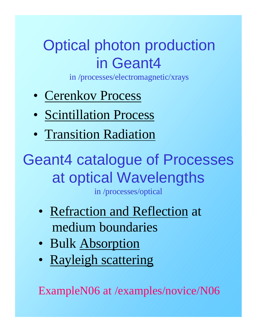#### Optical photon production in Geant4

in /processes/electromagnetic/xrays

- Cerenkov Process
- Scintillation Process
- Transition Radiation

Geant4 catalogue of Processes at optical Wavelengths

in /processes/optical

- Refraction and Reflection at medium boundaries
- Bulk Absorption
- Rayleigh scattering

ExampleN06 at /examples/novice/N06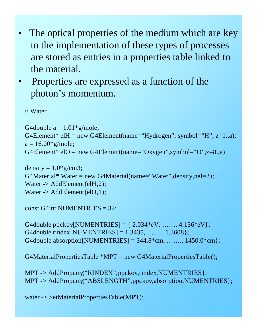- The optical properties of the medium which are key to the implementation of these types of processes are stored as entries in a properties table linked to the material.
- Properties are expressed as a function of the photon's momentum.

// Water

```
G4double a = 1.01 \times g/mole;
G4Element* elH = new G4Element(name="Hydrogen", symbol="H", z=1.,a);
a = 16.00*g/mole;G4Element* elO = new G4Element(name="Oxygen",symbol="O",z=8.,a)
```

```
density = 1.0* g/cm3;
G4Material* Water = new G4Material(name="Water",density,nel=2);
Water -> AddElement(elH,2);
Water \rightarrow AddElement(elO,1);
```

```
const G4int NUMENTRIES = 32;
```
G4double ppckov[NUMENTRIES] =  $\{2.034*eV, \ldots, 4.136*eV\};$ G4double rindex[NUMENTRIES] = 1.3435, ……., 1.3608}; G4double absorption [NUMENTRIES] =  $344.8$ <sup>\*</sup>cm, ......,  $1450.0$ <sup>\*</sup>cm};

G4MaterialPropertiesTable \*MPT = new G4MaterialPropertiesTable();

MPT -> AddProperty("RINDEX",ppckov,rindex,NUMENTRIES}; MPT -> AddProperty("ABSLENGTH",ppckov,absorption,NUMENTRIES};

water -> SetMaterialPropertiesTable(MPT);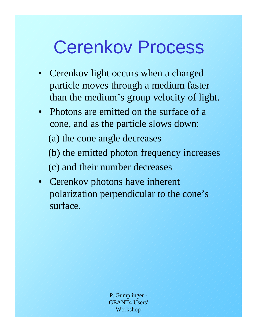### Cerenkov Process

- Cerenkov light occurs when a charged particle moves through a medium faster than the medium's group velocity of light.
- Photons are emitted on the surface of a cone, and as the particle slows down: (a) the cone angle decreases

(b) the emitted photon frequency increases

(c) and their number decreases

• Cerenkov photons have inherent polarization perpendicular to the cone's surface.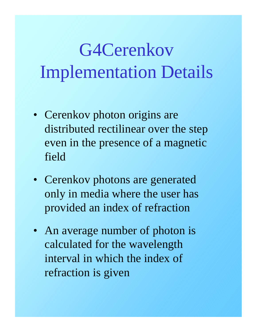# G4Cerenkov Implementation Details

- Cerenkov photon origins are distributed rectilinear over the step even in the presence of a magnetic field
- Cerenkov photons are generated only in media where the user has provided an index of refraction
- An average number of photon is calculated for the wavelength interval in which the index of refraction is given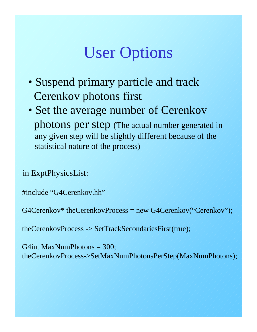### User Options

- Suspend primary particle and track Cerenkov photons first
- Set the average number of Cerenkov photons per step (The actual number generated in any given step will be slightly different because of the statistical nature of the process)

in ExptPhysicsList:

#include "G4Cerenkov.hh"

G4Cerenkov\* theCerenkovProcess = new G4Cerenkov("Cerenkov");

theCerenkovProcess -> SetTrackSecondariesFirst(true);

G4int MaxNumPhotons = 300; theCerenkovProcess->SetMaxNumPhotonsPerStep(MaxNumPhotons);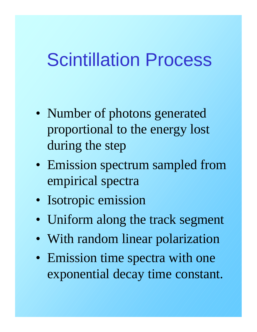### Scintillation Process

- Number of photons generated proportional to the energy lost during the step
- Emission spectrum sampled from empirical spectra
- Isotropic emission
- Uniform along the track segment
- With random linear polarization
- Emission time spectra with one exponential decay time constant.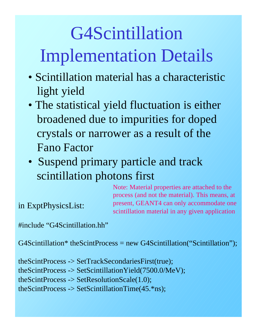# G4Scintillation Implementation Details

- Scintillation material has a characteristic light yield
- The statistical yield fluctuation is either broadened due to impurities for doped crystals or narrower as a result of the Fano Factor
- Suspend primary particle and track scintillation photons first

Note: Material properties are attached to the process (and not the material). This means, at present, GEANT4 can only accommodate one scintillation material in any given application

in ExptPhysicsList:

#include "G4Scintillation.hh"

 $G4Scintillation* the ScintProcess = new G4Scintillation("Scintillation");$ 

theScintProcess -> SetTrackSecondariesFirst(true); theScintProcess -> SetScintillationYield(7500.0/MeV); theScintProcess -> SetResolutionScale(1.0); theScintProcess -> SetScintillationTime(45.\*ns);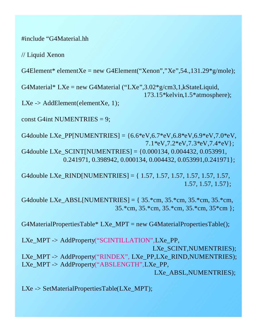#### #include "G4Material.hh

// Liquid Xenon

G4Element\* elementXe = new G4Element("Xenon","Xe",54.,131.29 $*$ g/mole);

G4Material\* LXe = new G4Material ("LXe",  $3.02*$ g/cm $3.1$ , kStateLiquid, 173.15\*kelvin,1.5\*atmosphere);

LXe  $\rightarrow$  AddElement(elementXe, 1);

const G4int NUMENTRIES = 9;

G4double LXe\_PP[NUMENTRIES] =  ${6.6*eV,6.7*eV,6.8*eV,6.9*eV,7.0*eV}$ , 7.1\*eV,7.2\*eV,7.3\*eV,7.4\*eV}; G4double LXe\_SCINT[NUMENTRIES] = {0.000134, 0.004432, 0.053991, 0.241971, 0.398942, 0.000134, 0.004432, 0.053991,0.241971};

G4double LXe\_RIND[NUMENTRIES] = { 1.57, 1.57, 1.57, 1.57, 1.57, 1.57, 1.57, 1.57, 1.57};

G4double LXe\_ABSL[NUMENTRIES] =  $\{35.*cm, 35.*cm, 35.*cm, 35.*cm,$ 35.\*cm, 35.\*cm, 35.\*cm, 35.\*cm, 35\*cm };

G4MaterialPropertiesTable\* LXe\_MPT = new G4MaterialPropertiesTable();

LXe\_MPT -> AddProperty("SCINTILLATION",LXe\_PP, LXe\_SCINT,NUMENTRIES); LXe\_MPT -> AddProperty("RINDEX", LXe\_PP,LXe\_RIND,NUMENTRIES); LXe\_MPT -> AddProperty("ABSLENGTH",LXe\_PP, LXe\_ABSL,NUMENTRIES);

LXe -> SetMaterialPropertiesTable(LXe\_MPT);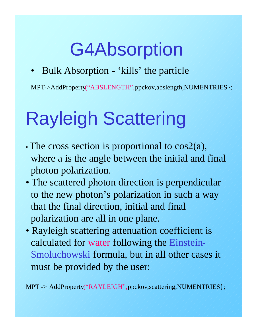# G4Absorption

• Bulk Absorption - 'kills' the particle

MPT->AddProperty("ABSLENGTH",ppckov,abslength,NUMENTRIES};

# Rayleigh Scattering

- The cross section is proportional to  $cos2(a)$ , where a is the angle between the initial and final photon polarization.
- The scattered photon direction is perpendicular to the new photon's polarization in such a way that the final direction, initial and final polarization are all in one plane.
- Rayleigh scattering attenuation coefficient is calculated for water following the Einstein-Smoluchowski formula, but in all other cases it must be provided by the user:

MPT -> AddProperty("RAYLEIGH",ppckov,scattering,NUMENTRIES};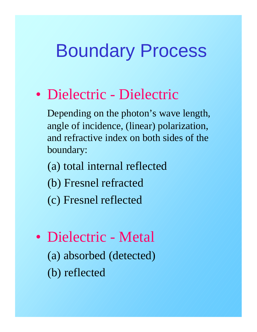### Boundary Process

#### • Dielectric - Dielectric

Depending on the photon's wave length, angle of incidence, (linear) polarization, and refractive index on both sides of the boundary:

- (a) total internal reflected
- (b) Fresnel refracted
- (c) Fresnel reflected
- Dielectric Metal (a) absorbed (detected) (b) reflected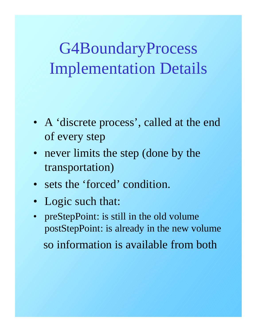### G4BoundaryProcess Implementation Details

- A 'discrete process', called at the end of every step
- never limits the step (done by the transportation)
- sets the 'forced' condition.
- Logic such that:
- preStepPoint: is still in the old volume postStepPoint: is already in the new volume so information is available from both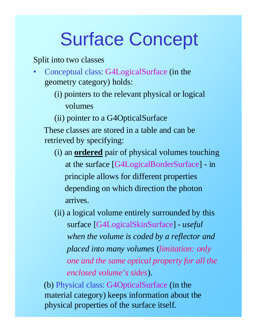# Surface Concept

Split into two classes

- Conceptual class: G4LogicalSurface (in the geometry category) holds:
	- (i) pointers to the relevant physical or logical volumes
	- (ii) pointer to a G4OpticalSurface

These classes are stored in a table and can be retrieved by specifying:

- (i) an **ordered** pair of physical volumes touching at the surface [G4LogicalBorderSurface] - in principle allows for different properties depending on which direction the photon arrives.
- (ii) a logical volume entirely surrounded by this surface [G4LogicalSkinSurface] - *useful when the volume is coded by a reflector and placed into many volumes* (*limitation: only one and the same optical property for all the enclosed volume's sides*).

(b) Physical class: G4OpticalSurface (in the material category) keeps information about the physical properties of the surface itself.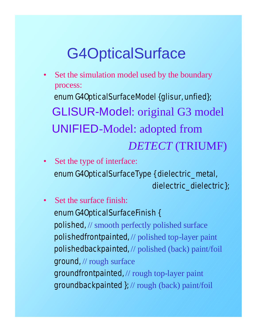### G4OpticalSurface

- Set the simulation model used by the boundary process: enum G4OpticalSurfaceModel {glisur, unfied}; GLISUR-Model: original G3 model UNIFIED-Model: adopted from *DETECT* (TRIUMF)
- Set the type of interface: enum G4OpticalSurfaceType { dielectric\_metal, dielectric\_dielectric};
- Set the surface finish: enum G4OpticalSurfaceFinish { polished, // smooth perfectly polished surface polishedfrontpainted, // polished top-layer paint polishedbackpainted, // polished (back) paint/foil ground, // rough surface groundfrontpainted, // rough top-layer paint groundbackpainted }; // rough (back) paint/foil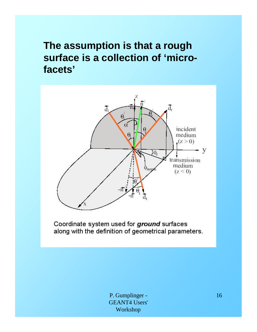#### **The assumption is that a rough surface is a collection of 'microfacets'**



Coordinate system used for ground surfaces along with the definition of geometrical parameters.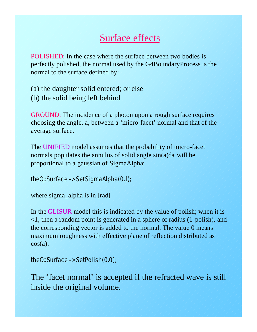#### Surface effects

POLISHED: In the case where the surface between two bodies is perfectly polished, the normal used by the G4BoundaryProcess is the normal to the surface defined by:

(a) the daughter solid entered; or else (b) the solid being left behind

GROUND: The incidence of a photon upon a rough surface requires choosing the angle, a, between a 'micro-facet' normal and that of the average surface.

The UNIFIED model assumes that the probability of micro-facet normals populates the annulus of solid angle sin(a)da will be proportional to a gaussian of SigmaAlpha:

theOpSurface -> SetSigmaAlpha(0.1);

```
where sigma_alpha is in [rad]
```
In the GLISUR model this is indicated by the value of polish; when it is <1, then a random point is generated in a sphere of radius (1-polish), and the corresponding vector is added to the normal. The value 0 means maximum roughness with effective plane of reflection distributed as  $cos(a)$ .

```
theOpSurface -> SetPolish(0.0);
```
The 'facet normal' is accepted if the refracted wave is still inside the original volume.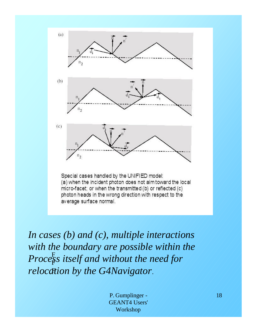

Special cases handled by the UNIFIED model: (a) when the incident photon does not aim toward the local micro-facet; or when the transmitted (b) or reflected (c) photon heads in the wrong direction with respect to the average surface normal.

F F *Process itself and without the need for*  F *relocation by the G4Navigator*. *In cases (b) and (c), multiple interactions with the boundary are possible within the*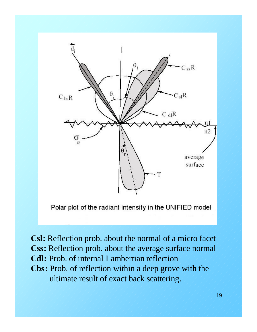

Polar plot of the radiant intensity in the UNIFIED model

**Csl:** Reflection prob. about the normal of a micro facet **Css:** Reflection prob. about the average surface normal **Cdl:** Prob. of internal Lambertian reflection **Cbs:** Prob. of reflection within a deep grove with the ultimate result of exact back scattering.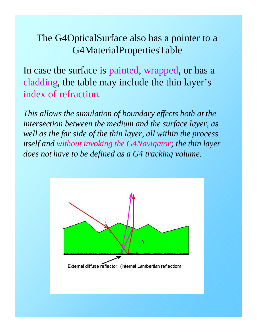#### The G4OpticalSurface also has a pointer to a G4MaterialPropertiesTable

In case the surface is painted, wrapped, or has a cladding, the table may include the thin layer's index of refraction.

*This allows the simulation of boundary effects both at the intersection between the medium and the surface layer, as well as the far side of the thin layer, all within the process itself and without invoking the G4Navigator; the thin layer does not have to be defined as a G4 tracking volume.*

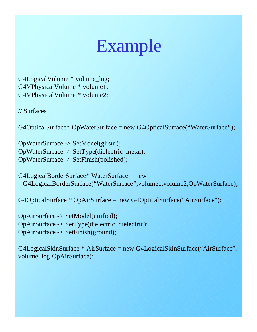### Example

G4LogicalVolume \* volume\_log; G4VPhysicalVolume \* volume1; G4VPhysicalVolume \* volume2;

// Surfaces

G4OpticalSurface\* OpWaterSurface = new G4OpticalSurface("WaterSurface");

OpWaterSurface -> SetModel(glisur); OpWaterSurface -> SetType(dielectric\_metal); OpWaterSurface -> SetFinish(polished);

```
G4LogicalBorderSurface* WaterSurface = new
 G4LogicalBorderSurface("WaterSurface",volume1,volume2,OpWaterSurface);
```
G4OpticalSurface \* OpAirSurface = new G4OpticalSurface("AirSurface");

OpAirSurface -> SetModel(unified); OpAirSurface -> SetType(dielectric\_dielectric); OpAirSurface -> SetFinish(ground);

G4LogicalSkinSurface \* AirSurface = new G4LogicalSkinSurface("AirSurface", volume\_log,OpAirSurface);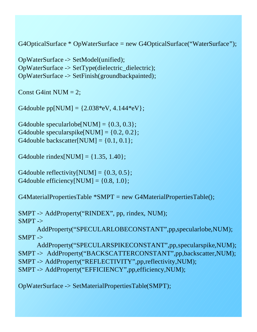G4OpticalSurface \* OpWaterSurface = new G4OpticalSurface("WaterSurface");

OpWaterSurface -> SetModel(unified); OpWaterSurface -> SetType(dielectric\_dielectric); OpWaterSurface -> SetFinish(groundbackpainted);

Const G4int NUM  $= 2$ ;

G4double pp[NUM] =  $\{2.038*eV, 4.144*eV\};$ 

G4double specularlobe[NUM] =  $\{0.3, 0.3\}$ ; G4double specularspike[NUM] =  $\{0.2, 0.2\}$ ; G4double backscatter[NUM] =  $\{0.1, 0.1\}$ ;

G4double rindex[NUM] =  $\{1.35, 1.40\}$ ;

G4double reflectivity  $[NUM] = \{0.3, 0.5\};$ G4double efficiency [NUM] =  $\{0.8, 1.0\}$ ;

G4MaterialPropertiesTable \*SMPT = new G4MaterialPropertiesTable();

SMPT -> AddProperty("RINDEX", pp, rindex, NUM);  $SMPT$  ->

AddProperty("SPECULARLOBECONSTANT",pp,specularlobe,NUM);  $SMPT$  ->

AddProperty("SPECULARSPIKECONSTANT",pp,specularspike,NUM); SMPT -> AddProperty("BACKSCATTERCONSTANT",pp,backscatter,NUM); SMPT -> AddProperty("REFLECTIVITY",pp,reflectivity,NUM); SMPT -> AddProperty("EFFICIENCY",pp,efficiency,NUM);

OpWaterSurface -> SetMaterialPropertiesTable(SMPT);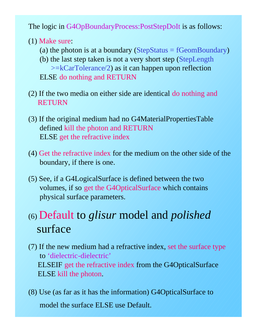The logic in G4OpBoundaryProcess:PostStepDoIt is as follows:

- (1) Make sure:
	- (a) the photon is at a boundary ( $StepStatus = fGeomBoundary)$ )
	- (b) the last step taken is not a very short step (StepLength >=kCarTolerance/2) as it can happen upon reflection ELSE do nothing and RETURN
- (2) If the two media on either side are identical do nothing and **RETURN**
- (3) If the original medium had no G4MaterialPropertiesTable defined kill the photon and RETURN ELSE get the refractive index
- (4) Get the refractive index for the medium on the other side of the boundary, if there is one.
- (5) See, if a G4LogicalSurface is defined between the two volumes, if so get the G4OpticalSurface which contains physical surface parameters.

#### (6) Default to *glisur* model and *polished* surface

- (7) If the new medium had a refractive index, set the surface type to 'dielectric-dielectric' ELSEIF get the refractive index from the G4OpticalSurface ELSE kill the photon.
- (8) Use (as far as it has the information) G4OpticalSurface to model the surface ELSE use Default.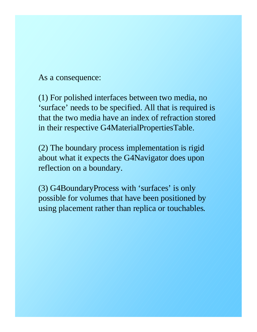As a consequence:

(1) For polished interfaces between two media, no 'surface' needs to be specified. All that is required is that the two media have an index of refraction stored in their respective G4MaterialPropertiesTable.

(2) The boundary process implementation is rigid about what it expects the G4Navigator does upon reflection on a boundary.

(3) G4BoundaryProcess with 'surfaces' is only possible for volumes that have been positioned by using placement rather than replica or touchables.